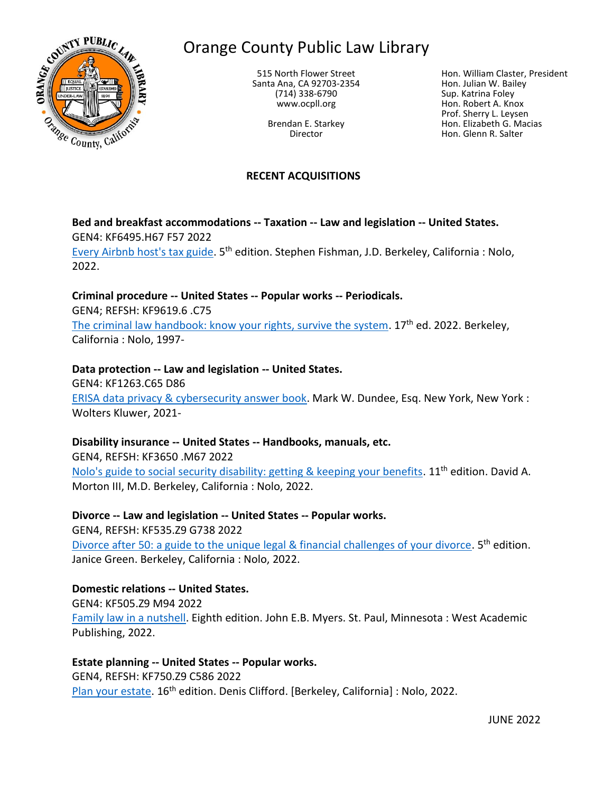

# Orange County Public Law Library

515 North Flower Street Santa Ana, CA 92703-2354 (714) 338-6790 www.ocpll.org

> Brendan E. Starkey Director

Hon. William Claster, President Hon. Julian W. Bailey Sup. Katrina Foley Hon. Robert A. Knox Prof. Sherry L. Leysen Hon. Elizabeth G. Macias Hon. Glenn R. Salter

#### **RECENT ACQUISITIONS**

**Bed and breakfast accommodations -- Taxation -- Law and legislation -- United States.** GEN4: KF6495.H67 F57 2022

[Every Airbnb host's tax guide.](https://innopac.ocpll.org/record=b244536) 5<sup>th</sup> edition. Stephen Fishman, J.D. Berkeley, California : Nolo, 2022.

## **Criminal procedure -- United States -- Popular works -- Periodicals.**

GEN4; REFSH: KF9619.6 .C75

[The criminal law handbook: know your rights, survive the system.](https://innopac.ocpll.org/record=b245942) 17<sup>th</sup> ed. 2022. Berkeley, California : Nolo, 1997-

## **Data protection -- Law and legislation -- United States.**

GEN4: KF1263.C65 D86 [ERISA data privacy & cybersecurity answer book.](https://innopac.ocpll.org/record=b235150) Mark W. Dundee, Esq. New York, New York : Wolters Kluwer, 2021-

## **Disability insurance -- United States -- Handbooks, manuals, etc.**

GEN4, REFSH: KF3650 .M67 2022 [Nolo's guide to social security disability: getting & keeping your benefits.](https://innopac.ocpll.org/record=b246731) 11<sup>th</sup> edition. David A. Morton III, M.D. Berkeley, California : Nolo, 2022.

#### **Divorce -- Law and legislation -- United States -- Popular works.**

GEN4, REFSH: KF535.Z9 G738 2022 [Divorce after 50: a guide to the unique legal & financial challenges of your divorce.](https://innopac.ocpll.org/record=b245941) 5<sup>th</sup> edition. Janice Green. Berkeley, California : Nolo, 2022.

## **Domestic relations -- United States.**

GEN4: KF505.Z9 M94 2022 [Family law in a nutshell.](https://innopac.ocpll.org/record=b247924) Eighth edition. John E.B. Myers. St. Paul, Minnesota : West Academic Publishing, 2022.

## **Estate planning -- United States -- Popular works.**

GEN4, REFSH: KF750.Z9 C586 2022 [Plan your estate.](https://innopac.ocpll.org/record=b247925) 16<sup>th</sup> edition. Denis Clifford. [Berkeley, California] : Nolo, 2022.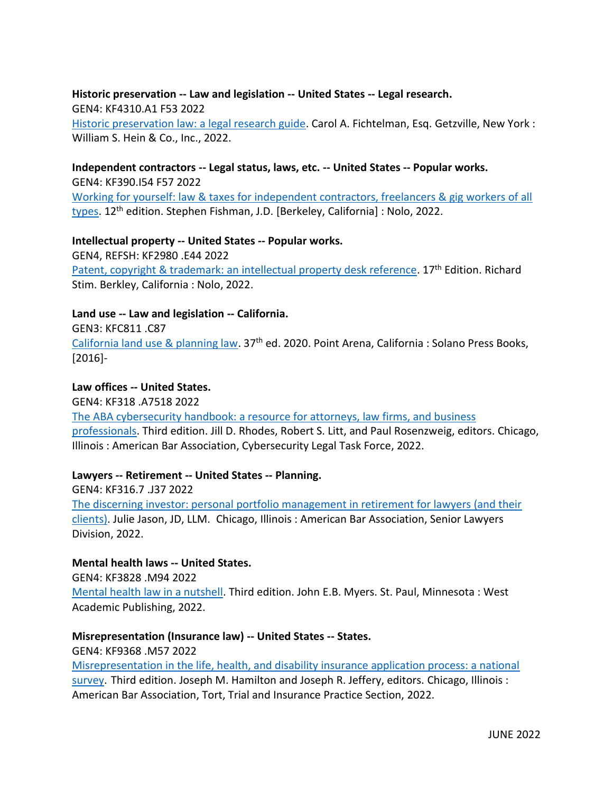#### **Historic preservation -- Law and legislation -- United States -- Legal research.** GEN4: KF4310.A1 F53 2022

[Historic preservation law: a legal research guide.](https://innopac.ocpll.org/record=b247369) Carol A. Fichtelman, Esq. Getzville, New York : William S. Hein & Co., Inc., 2022.

#### **Independent contractors -- Legal status, laws, etc. -- United States -- Popular works.**

GEN4: KF390.I54 F57 2022 [Working for yourself: law & taxes for independent contractors, freelancers & gig workers of all](https://innopac.ocpll.org/record=b244538)  [types.](https://innopac.ocpll.org/record=b244538) 12<sup>th</sup> edition. Stephen Fishman, J.D. [Berkeley, California] : Nolo, 2022.

## **Intellectual property -- United States -- Popular works.**

GEN4, REFSH: KF2980 .E44 2022 [Patent, copyright & trademark: an intellectual property desk reference.](https://innopac.ocpll.org/record=b247926) 17<sup>th</sup> Edition. Richard Stim. Berkley, California : Nolo, 2022.

#### **Land use -- Law and legislation -- California.**

GEN3: KFC811 .C87

[California land use & planning law.](https://innopac.ocpll.org/record=b1895643) 37th ed. 2020. Point Arena, California : Solano Press Books, [2016]-

## **Law offices -- United States.**

GEN4: KF318 .A7518 2022

[The ABA cybersecurity handbook: a resource for attorneys, law firms, and business](https://innopac.ocpll.org/record=b247928)  [professionals.](https://innopac.ocpll.org/record=b247928) Third edition. Jill D. Rhodes, Robert S. Litt, and Paul Rosenzweig, editors. Chicago, Illinois : American Bar Association, Cybersecurity Legal Task Force, 2022.

## **Lawyers -- Retirement -- United States -- Planning.**

GEN4: KF316.7 .J37 2022 [The discerning investor: personal portfolio management in retirement for lawyers \(and their](https://innopac.ocpll.org/record=b247931)  [clients\).](https://innopac.ocpll.org/record=b247931) Julie Jason, JD, LLM. Chicago, Illinois : American Bar Association, Senior Lawyers Division, 2022.

#### **Mental health laws -- United States.**

GEN4: KF3828 .M94 2022

[Mental health law in a nutshell.](https://innopac.ocpll.org/record=b247923) Third edition. John E.B. Myers. St. Paul, Minnesota : West Academic Publishing, 2022.

#### **Misrepresentation (Insurance law) -- United States -- States.**

GEN4: KF9368 .M57 2022

[Misrepresentation in the life, health, and disability insurance application process: a national](https://innopac.ocpll.org/record=b247932)  [survey.](https://innopac.ocpll.org/record=b247932) Third edition. Joseph M. Hamilton and Joseph R. Jeffery, editors. Chicago, Illinois : American Bar Association, Tort, Trial and Insurance Practice Section, 2022.